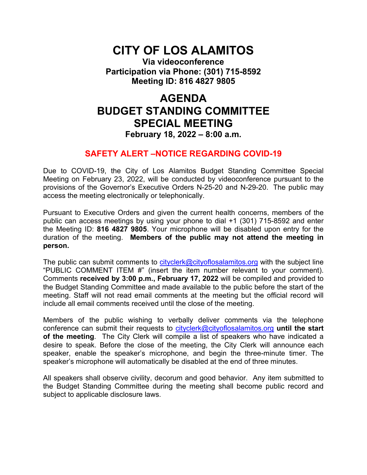# **CITY OF LOS ALAMITOS**

**Via videoconference Participation via Phone: (301) 715-8592 Meeting ID: 816 4827 9805**

# **AGENDA BUDGET STANDING COMMITTEE SPECIAL MEETING**

### **February 18, 2022 – 8:00 a.m.**

### **SAFETY ALERT –NOTICE REGARDING COVID-19**

Due to COVID-19, the City of Los Alamitos Budget Standing Committee Special Meeting on February 23, 2022, will be conducted by videoconference pursuant to the provisions of the Governor's Executive Orders N-25-20 and N-29-20. The public may access the meeting electronically or telephonically.

Pursuant to Executive Orders and given the current health concerns, members of the public can access meetings by using your phone to dial +1 (301) 715-8592 and enter the Meeting ID: **816 4827 9805**. Your microphone will be disabled upon entry for the duration of the meeting. **Members of the public may not attend the meeting in person.**

The public can submit comments to [cityclerk@cityoflosalamitos.org](mailto:cityclerk@cityoflosalamitos.org) with the subject line "PUBLIC COMMENT ITEM #" (insert the item number relevant to your comment). Comments **received by 3:00 p.m., February 17, 2022** will be compiled and provided to the Budget Standing Committee and made available to the public before the start of the meeting. Staff will not read email comments at the meeting but the official record will include all email comments received until the close of the meeting.

Members of the public wishing to verbally deliver comments via the telephone conference can submit their requests to [cityclerk@cityoflosalamitos.org](mailto:cityclerk@cityoflosalamitos.org) **until the start of the meeting**. The City Clerk will compile a list of speakers who have indicated a desire to speak. Before the close of the meeting, the City Clerk will announce each speaker, enable the speaker's microphone, and begin the three-minute timer. The speaker's microphone will automatically be disabled at the end of three minutes.

All speakers shall observe civility, decorum and good behavior. Any item submitted to the Budget Standing Committee during the meeting shall become public record and subject to applicable disclosure laws.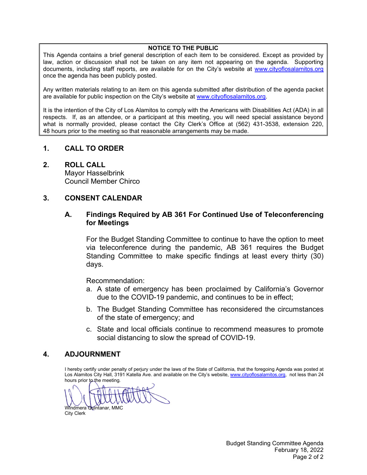#### **NOTICE TO THE PUBLIC**

This Agenda contains a brief general description of each item to be considered. Except as provided by law, action or discussion shall not be taken on any item not appearing on the agenda. Supporting documents, including staff reports, are available for on the City's website at [www.cityoflosalamitos.org](http://www.cityoflosalamitos.org/) once the agenda has been publicly posted.

Any written materials relating to an item on this agenda submitted after distribution of the agenda packet are available for public inspection on the City's website at [www.cityoflosalamitos.org.](http://www.cityoflosalamitos.org/)

It is the intention of the City of Los Alamitos to comply with the Americans with Disabilities Act (ADA) in all respects. If, as an attendee, or a participant at this meeting, you will need special assistance beyond what is normally provided, please contact the City Clerk's Office at (562) 431-3538, extension 220, 48 hours prior to the meeting so that reasonable arrangements may be made.

### **1. CALL TO ORDER**

### **2. ROLL CALL**

Mayor Hasselbrink Council Member Chirco

### **3. CONSENT CALENDAR**

### **A. Findings Required by AB 361 For Continued Use of Teleconferencing for Meetings**

For the Budget Standing Committee to continue to have the option to meet via teleconference during the pandemic, AB 361 requires the Budget Standing Committee to make specific findings at least every thirty (30) days.

Recommendation:

- a. A state of emergency has been proclaimed by California's Governor due to the COVID-19 pandemic, and continues to be in effect;
- b. The Budget Standing Committee has reconsidered the circumstances of the state of emergency; and
- c. State and local officials continue to recommend measures to promote social distancing to slow the spread of COVID-19.

### **4. ADJOURNMENT**

I hereby certify under penalty of perjury under the laws of the State of California, that the foregoing Agenda was posted at Los Alamitos City Hall, 3191 Katella Ave. and available on the City's website, [www.cityoflosalamitos.org,](http://www.cityoflosalamitos.org/) not less than 24 hours prior to the meeting.

Windmera Quintanar, MMC

City Clerk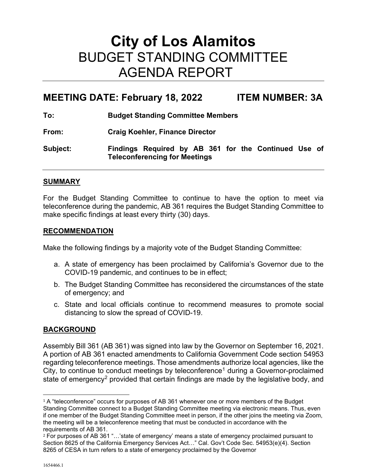# **City of Los Alamitos** BUDGET STANDING COMMITTEE AGENDA REPORT

## **MEETING DATE: February 18, 2022 ITEM NUMBER: 3A**

**To: Budget Standing Committee Members**

**From: Craig Koehler, Finance Director**

**Subject: Findings Required by AB 361 for the Continued Use of Teleconferencing for Meetings**

### **SUMMARY**

For the Budget Standing Committee to continue to have the option to meet via teleconference during the pandemic, AB 361 requires the Budget Standing Committee to make specific findings at least every thirty (30) days.

### **RECOMMENDATION**

Make the following findings by a majority vote of the Budget Standing Committee:

- a. A state of emergency has been proclaimed by California's Governor due to the COVID-19 pandemic, and continues to be in effect;
- b. The Budget Standing Committee has reconsidered the circumstances of the state of emergency; and
- c. State and local officials continue to recommend measures to promote social distancing to slow the spread of COVID-19.

### **BACKGROUND**

Assembly Bill 361 (AB 361) was signed into law by the Governor on September 16, 2021. A portion of AB 361 enacted amendments to California Government Code section 54953 regarding teleconference meetings. Those amendments authorize local agencies, like the City, to continue to conduct meetings by teleconference<sup>[1](#page-2-0)</sup> during a Governor-proclaimed state of emergency<sup>[2](#page-2-1)</sup> provided that certain findings are made by the legislative body, and

<span id="page-2-0"></span><sup>&</sup>lt;sup>1</sup> A "teleconference" occurs for purposes of AB 361 whenever one or more members of the Budget Standing Committee connect to a Budget Standing Committee meeting via electronic means. Thus, even if one member of the Budget Standing Committee meet in person, if the other joins the meeting via Zoom, the meeting will be a teleconference meeting that must be conducted in accordance with the requirements of AB 361.

<span id="page-2-1"></span><sup>2</sup> For purposes of AB 361 "…'state of emergency' means a state of emergency proclaimed pursuant to Section 8625 of the California Emergency Services Act…" Cal. Gov't Code Sec. 54953(e)(4). Section 8265 of CESA in turn refers to a state of emergency proclaimed by the Governor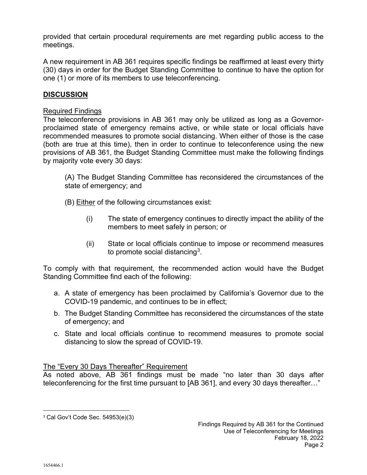provided that certain procedural requirements are met regarding public access to the meetings.

A new requirement in AB 361 requires specific findings be reaffirmed at least every thirty (30) days in order for the Budget Standing Committee to continue to have the option for one (1) or more of its members to use teleconferencing.

### **DISCUSSION**

### Required Findings

The teleconference provisions in AB 361 may only be utilized as long as a Governorproclaimed state of emergency remains active, or while state or local officials have recommended measures to promote social distancing. When either of those is the case (both are true at this time), then in order to continue to teleconference using the new provisions of AB 361, the Budget Standing Committee must make the following findings by majority vote every 30 days:

(A) The Budget Standing Committee has reconsidered the circumstances of the state of emergency; and

- (B) Either of the following circumstances exist:
	- (i) The state of emergency continues to directly impact the ability of the members to meet safely in person; or
	- (ii) State or local officials continue to impose or recommend measures to promote social distancing<sup>3</sup>.

To comply with that requirement, the recommended action would have the Budget Standing Committee find each of the following:

- a. A state of emergency has been proclaimed by California's Governor due to the COVID-19 pandemic, and continues to be in effect;
- b. The Budget Standing Committee has reconsidered the circumstances of the state of emergency; and
- c. State and local officials continue to recommend measures to promote social distancing to slow the spread of COVID-19.

### The "Every 30 Days Thereafter" Requirement

As noted above, AB 361 findings must be made "no later than 30 days after teleconferencing for the first time pursuant to [AB 361], and every 30 days thereafter…"

<span id="page-3-0"></span><sup>3</sup> Cal Gov't Code Sec. 54953(e)(3)